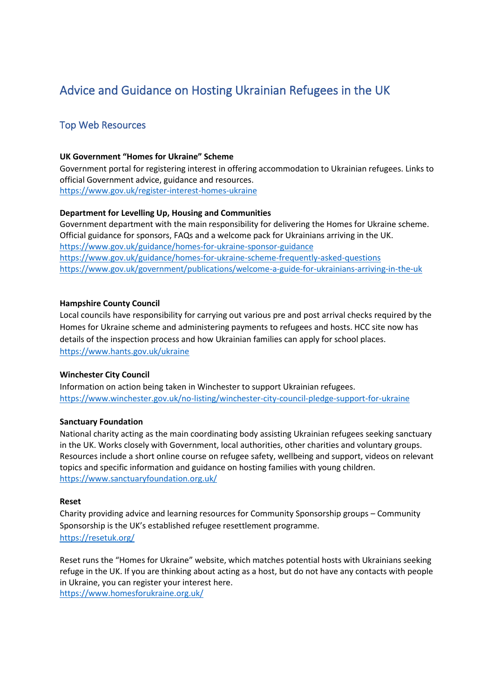# Advice and Guidance on Hosting Ukrainian Refugees in the UK

# Top Web Resources

#### **UK Government "Homes for Ukraine" Scheme**

Government portal for registering interest in offering accommodation to Ukrainian refugees. Links to official Government advice, guidance and resources. <https://www.gov.uk/register-interest-homes-ukraine>

### **Department for Levelling Up, Housing and Communities**

Government department with the main responsibility for delivering the Homes for Ukraine scheme. Official guidance for sponsors, FAQs and a welcome pack for Ukrainians arriving in the UK. <https://www.gov.uk/guidance/homes-for-ukraine-sponsor-guidance> <https://www.gov.uk/guidance/homes-for-ukraine-scheme-frequently-asked-questions> <https://www.gov.uk/government/publications/welcome-a-guide-for-ukrainians-arriving-in-the-uk>

#### **Hampshire County Council**

Local councils have responsibility for carrying out various pre and post arrival checks required by the Homes for Ukraine scheme and administering payments to refugees and hosts. HCC site now has details of the inspection process and how Ukrainian families can apply for school places. <https://www.hants.gov.uk/ukraine>

#### **Winchester City Council**

Information on action being taken in Winchester to support Ukrainian refugees. <https://www.winchester.gov.uk/no-listing/winchester-city-council-pledge-support-for-ukraine>

#### **Sanctuary Foundation**

National charity acting as the main coordinating body assisting Ukrainian refugees seeking sanctuary in the UK. Works closely with Government, local authorities, other charities and voluntary groups. Resources include a short online course on refugee safety, wellbeing and support, videos on relevant topics and specific information and guidance on hosting families with young children. <https://www.sanctuaryfoundation.org.uk/>

#### **Reset**

Charity providing advice and learning resources for Community Sponsorship groups – Community Sponsorship is the UK's established refugee resettlement programme. <https://resetuk.org/>

Reset runs the "Homes for Ukraine" website, which matches potential hosts with Ukrainians seeking refuge in the UK. If you are thinking about acting as a host, but do not have any contacts with people in Ukraine, you can register your interest here. <https://www.homesforukraine.org.uk/>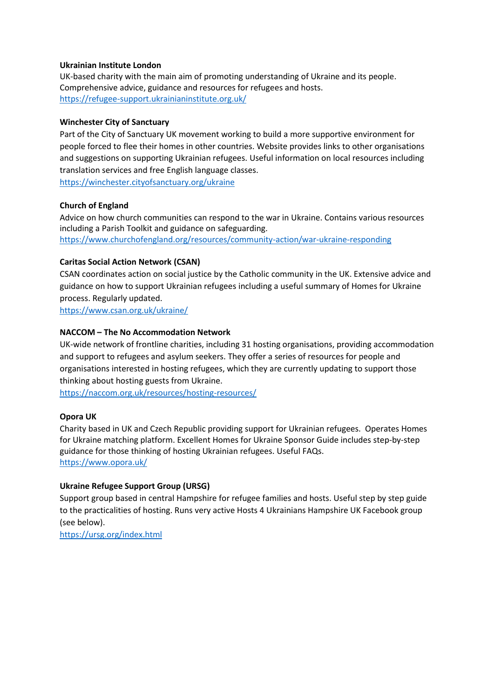#### **Ukrainian Institute London**

UK-based charity with the main aim of promoting understanding of Ukraine and its people. Comprehensive advice, guidance and resources for refugees and hosts. <https://refugee-support.ukrainianinstitute.org.uk/>

### **Winchester City of Sanctuary**

Part of the City of Sanctuary UK movement working to build a more supportive environment for people forced to flee their homes in other countries. Website provides links to other organisations and suggestions on supporting Ukrainian refugees. Useful information on local resources including translation services and free English language classes.

<https://winchester.cityofsanctuary.org/ukraine>

### **Church of England**

Advice on how church communities can respond to the war in Ukraine. Contains various resources including a Parish Toolkit and guidance on safeguarding. <https://www.churchofengland.org/resources/community-action/war-ukraine-responding>

### **Caritas Social Action Network (CSAN)**

CSAN coordinates action on social justice by the Catholic community in the UK. Extensive advice and guidance on how to support Ukrainian refugees including a useful summary of Homes for Ukraine process. Regularly updated.

<https://www.csan.org.uk/ukraine/>

### **NACCOM – The No Accommodation Network**

UK-wide network of frontline charities, including 31 hosting organisations, providing accommodation and support to refugees and asylum seekers. They offer a series of resources for people and organisations interested in hosting refugees, which they are currently updating to support those thinking about hosting guests from Ukraine.

<https://naccom.org.uk/resources/hosting-resources/>

# **Opora UK**

Charity based in UK and Czech Republic providing support for Ukrainian refugees. Operates Homes for Ukraine matching platform. Excellent Homes for Ukraine Sponsor Guide includes step-by-step guidance for those thinking of hosting Ukrainian refugees. Useful FAQs. <https://www.opora.uk/>

# **Ukraine Refugee Support Group (URSG)**

Support group based in central Hampshire for refugee families and hosts. Useful step by step guide to the practicalities of hosting. Runs very active Hosts 4 Ukrainians Hampshire UK Facebook group (see below).

<https://ursg.org/index.html>